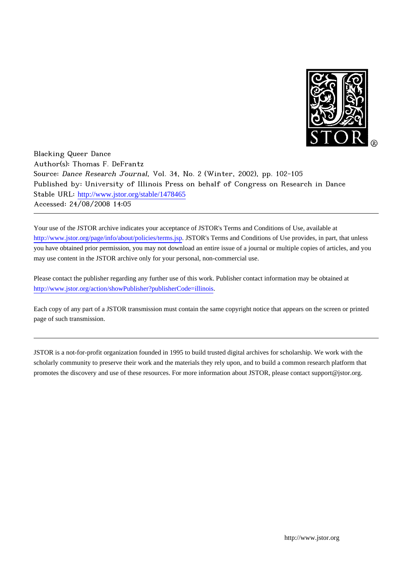

Blacking Queer Dance Author(s): Thomas F. DeFrantz Source: Dance Research Journal, Vol. 34, No. 2 (Winter, 2002), pp. 102-105 Published by: University of Illinois Press on behalf of Congress on Research in Dance Stable URL: [http://www.jstor.org/stable/1478465](http://www.jstor.org/stable/1478465?origin=JSTOR-pdf) Accessed: 24/08/2008 14:05

Your use of the JSTOR archive indicates your acceptance of JSTOR's Terms and Conditions of Use, available at <http://www.jstor.org/page/info/about/policies/terms.jsp>. JSTOR's Terms and Conditions of Use provides, in part, that unless you have obtained prior permission, you may not download an entire issue of a journal or multiple copies of articles, and you may use content in the JSTOR archive only for your personal, non-commercial use.

Please contact the publisher regarding any further use of this work. Publisher contact information may be obtained at [http://www.jstor.org/action/showPublisher?publisherCode=illinois.](http://www.jstor.org/action/showPublisher?publisherCode=illinois)

Each copy of any part of a JSTOR transmission must contain the same copyright notice that appears on the screen or printed page of such transmission.

JSTOR is a not-for-profit organization founded in 1995 to build trusted digital archives for scholarship. We work with the scholarly community to preserve their work and the materials they rely upon, and to build a common research platform that promotes the discovery and use of these resources. For more information about JSTOR, please contact support@jstor.org.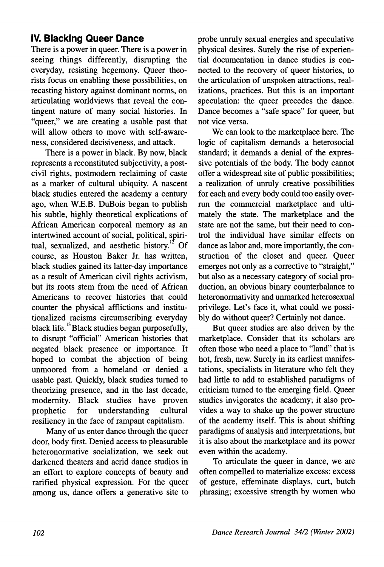## **IV. Blacking Queer Dance**

**There is a power in queer. There is a power in seeing things differently, disrupting the everyday, resisting hegemony. Queer theorists focus on enabling these possibilities, on recasting history against dominant norms, on articulating worldviews that reveal the contingent nature of many social histories. In "queer," we are creating a usable past that will allow others to move with self-awareness, considered decisiveness, and attack.** 

**There is a power in black. By now, black represents a reconstituted subjectivity, a postcivil rights, postmodern reclaiming of caste as a marker of cultural ubiquity. A nascent black studies entered the academy a century ago, when W.E.B. DuBois began to publish his subtle, highly theoretical explications of African American corporeal memory as an intertwined account of social, political, spiri**tual, sexualized, and aesthetic history.<sup>12</sup> Of **course, as Houston Baker Jr. has written, black studies gained its latter-day importance as a result of American civil rights activism, but its roots stem from the need of African Americans to recover histories that could counter the physical afflictions and institutionalized racisms circumscribing everyday**  black life.<sup>13</sup> Black studies began purposefully, **to disrupt "official" American histories that negated black presence or importance. It hoped to combat the abjection of being unmoored from a homeland or denied a usable past. Quickly, black studies turned to theorizing presence, and in the last decade, modernity. Black studies have proven understanding resiliency in the face of rampant capitalism.** 

**Many of us enter dance through the queer door, body first. Denied access to pleasurable heteronormative socialization, we seek out darkened theaters and acrid dance studios in an effort to explore concepts of beauty and rarified physical expression. For the queer among us, dance offers a generative site to**  **probe unruly sexual energies and speculative physical desires. Surely the rise of experiential documentation in dance studies is connected to the recovery of queer histories, to the articulation of unspoken attractions, realizations, practices. But this is an important speculation: the queer precedes the dance. Dance becomes a "safe space" for queer, but not vice versa.** 

**We can look to the marketplace here. The logic of capitalism demands a heterosocial standard; it demands a denial of the expressive potentials of the body. The body cannot offer a widespread site of public possibilities; a realization of unruly creative possibilities for each and every body could too easily overrun the commercial marketplace and ultimately the state. The marketplace and the state are not the same, but their need to control the individual have similar effects on dance as labor and, more importantly, the construction of the closet and queer. Queer emerges not only as a corrective to "straight," but also as a necessary category of social production, an obvious binary counterbalance to heteronormativity and unmarked heterosexual privilege. Let's face it, what could we possibly do without queer? Certainly not dance.** 

**But queer studies are also driven by the marketplace. Consider that its scholars are often those who need a place to "land" that is hot, fresh, new. Surely in its earliest manifestations, specialists in literature who felt they had little to add to established paradigms of criticism turned to the emerging field. Queer studies invigorates the academy; it also provides a way to shake up the power structure of the academy itself. This is about shifting paradigms of analysis and interpretations, but it is also about the marketplace and its power even within the academy.** 

**To articulate the queer in dance, we are often compelled to materialize excess: excess of gesture, effeminate displays, curt, butch phrasing; excessive strength by women who**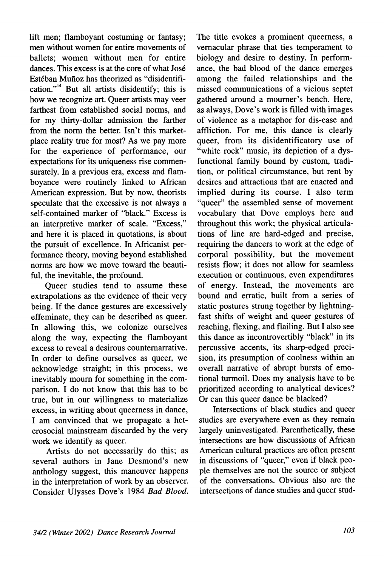**lift men; flamboyant costuming or fantasy; men without women for entire movements of ballets; women without men for entire dances. This excess is at the core of what Jose**  Estéban Muñoz has theorized as "disidentifi**cation."'4 But all artists disidentify; this is how we recognize art. Queer artists may veer farthest from established social norms, and for my thirty-dollar admission the farther from the norm the better. Isn't this marketplace reality true for most? As we pay more for the experience of performance, our expectations for its uniqueness rise commensurately. In a previous era, excess and flamboyance were routinely linked to African American expression. But by now, theorists speculate that the excessive is not always a self-contained marker of "black." Excess is an interpretive marker of scale. "Excess," and here it is placed in quotations, is about the pursuit of excellence. In Africanist performance theory, moving beyond established norms are how we move toward the beautiful, the inevitable, the profound.** 

**Queer studies tend to assume these extrapolations as the evidence of their very being. If the dance gestures are excessively effeminate, they can be described as queer. In allowing this, we colonize ourselves along the way, expecting the flamboyant excess to reveal a desirous counternarrative. In order to define ourselves as queer, we acknowledge straight; in this process, we inevitably mourn for something in the comparison. I do not know that this has to be true, but in our willingness to materialize excess, in writing about queerness in dance, I am convinced that we propagate a heterosocial mainstream discarded by the very work we identify as queer.** 

**Artists do not necessarily do this; as several authors in Jane Desmond's new anthology suggest, this maneuver happens in the interpretation of work by an observer. Consider Ulysses Dove's 1984 Bad Blood.**  The title evokes a prominent queerness, a **vernacular phrase that ties temperament to biology and desire to destiny. In performance, the bad blood of the dance emerges among the failed relationships and the missed communications of a vicious septet gathered around a mourner's bench. Here, as always, Dove's work is filled with images of violence as a metaphor for dis-ease and affliction. For me, this dance is clearly queer, from its disidentificatory use of**  "white rock" music, its depiction of a dys**functional family bound by custom, tradition, or political circumstance, but rent by desires and attractions that are enacted and implied during its course. I also term "queer" the assembled sense of movement vocabulary that Dove employs here and throughout this work; the physical articulations of line are hard-edged and precise, requiring the dancers to work at the edge of corporal possibility, but the movement resists flow; it does not allow for seamless execution or continuous, even expenditures of energy. Instead, the movements are bound and erratic, built from a series of static postures strung together by lightningfast shifts of weight and queer gestures of reaching, flexing, and flailing. But I also see this dance as incontrovertibly "black" in its percussive accents, its sharp-edged precision, its presumption of coolness within an overall narrative of abrupt bursts of emotional turmoil. Does my analysis have to be prioritized according to analytical devices? Or can this queer dance be blacked?** 

**Intersections of black studies and queer studies are everywhere even as they remain largely uninvestigated. Parenthetically, these intersections are how discussions of African American cultural practices are often present in discussions of "queer," even if black people themselves are not the source or subject of the conversations. Obvious also are the intersections of dance studies and queer stud-**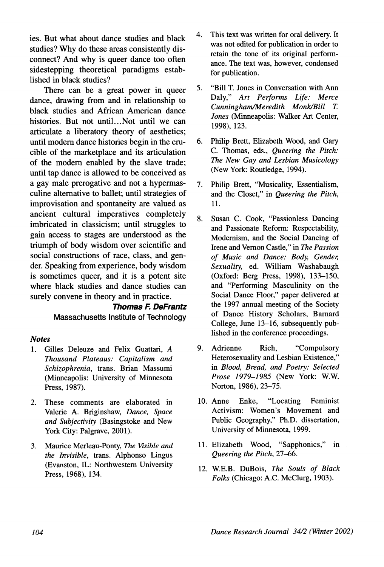**ies. But what about dance studies and black studies? Why do these areas consistently disconnect? And why is queer dance too often sidestepping theoretical paradigms established in black studies?** 

**There can be a great power in queer dance, drawing from and in relationship to black studies and African American dance histories. But not until...Not until we can articulate a liberatory theory of aesthetics; until modem dance histories begin in the crucible of the marketplace and its articulation**  of the modern enabled by the slave trade; **until tap dance is allowed to be conceived as a gay male prerogative and not a hypermasculine alternative to ballet; until strategies of improvisation and spontaneity are valued as ancient cultural imperatives completely imbricated in classicism; until struggles to gain access to stages are understood as the triumph of body wisdom over scientific and social constructions of race, class, and gender. Speaking from experience, body wisdom is sometimes queer, and it is a potent site where black studies and dance studies can surely convene in theory and in practice.** 

**Thomas F. DeFrantz Massachusetts Institute of Technology** 

## **Notes**

- **1. Gilles Deleuze and Felix Guattari, A Thousand Plateaus: Capitalism and Schizophrenia, trans. Brian Massumi (Minneapolis: University of Minnesota Press, 1987).**
- **2. These comments are elaborated in Valerie A. Briginshaw, Dance, Space and Subjectivity (Basingstoke and New**  York City: Palgrave, 2001).
- **3. Maurice Merleau-Ponty, The Visible and the Invisible, trans. Alphonso Lingus (Evanston, IL: Northwestern University Press, 1968), 134.**
- **4. This text was written for oral delivery. It was not edited for publication in order to retain the tone of its original performance. The text was, however, condensed for publication.**
- **5. "Bill T. Jones in Conversation with Ann Daly," Art Performs Life: Merce Cunningham/Meredith Monk/Bill T. Jones (Minneapolis: Walker Art Center, 1998), 123.**
- **6. Philip Brett, Elizabeth Wood, and Gary C. Thomas, eds., Queering the Pitch: The New Gay and Lesbian Musicology (New York: Routledge, 1994).**
- **7. Philip Brett, "Musicality, Essentialism, and the Closet," in Queering the Pitch, 11.**
- **8. Susan C. Cook, "Passionless Dancing and Passionate Reform: Respectability, Modernism, and the Social Dancing of**  Irene and Vernon Castle," in The Passion of Music and Dance: Body, Gender, **Sexuality, ed. William Washabaugh (Oxford: Berg Press, 1998), 133-150, and "Performing Masculinity on the Social Dance Floor," paper delivered at the 1997 annual meeting of the Society of Dance History Scholars, Barnard College, June 13-16, subsequently published in the conference proceedings.**
- **9. Adrienne Rich, "Compulsory Heterosexuality and Lesbian Existence," in Blood, Bread, and Poetry: Selected Prose 1979-1985 (New York: W.W. Norton, 1986), 23-75.**
- **10. Anne Enke, "Locating Feminist Activism: Women's Movement and Public Geography," Ph.D. dissertation, University of Minnesota, 1999.**
- **11. Elizabeth Wood, "Sapphonics," in Queering the Pitch, 27-66.**
- **12. W.E.B. DuBois, The Souls of Black Folks (Chicago: A.C. McClurg, 1903).**